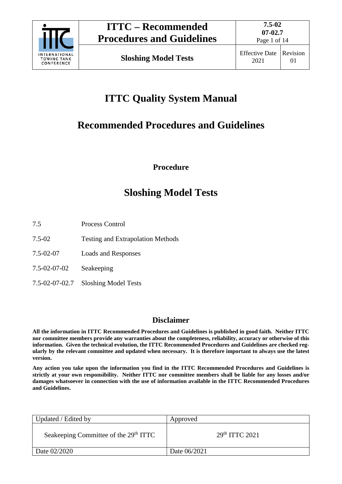

Page 1 of 14

# **ITTC Quality System Manual**

# **Recommended Procedures and Guidelines**

**Procedure**

## **Sloshing Model Tests**

- 7.5 Process Control
- 7.5-02 Testing and Extrapolation Methods
- 7.5-02-07 Loads and Responses
- 7.5-02-07-02 Seakeeping
- 7.5-02-07-02.7 Sloshing Model Tests

## **Disclaimer**

**All the information in ITTC Recommended Procedures and Guidelines is published in good faith. Neither ITTC nor committee members provide any warranties about the completeness, reliability, accuracy or otherwise of this information. Given the technical evolution, the ITTC Recommended Procedures and Guidelines are checked regularly by the relevant committee and updated when necessary. It is therefore important to always use the latest version.**

**Any action you take upon the information you find in the ITTC Recommended Procedures and Guidelines is strictly at your own responsibility. Neither ITTC nor committee members shall be liable for any losses and/or damages whatsoever in connection with the use of information available in the ITTC Recommended Procedures and Guidelines.**

| Updated / Edited by                               | Approved                   |
|---------------------------------------------------|----------------------------|
| Seakeeping Committee of the 29 <sup>th</sup> ITTC | 29 <sup>th</sup> TTTC 2021 |
| Date 02/2020                                      | Date 06/2021               |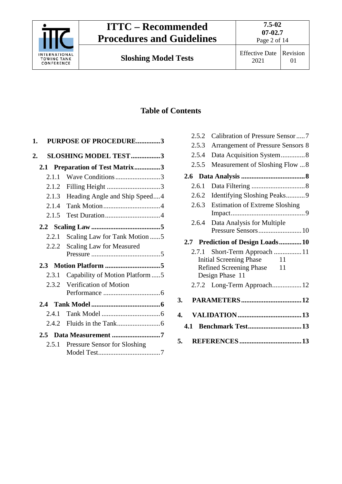

# **ITTC – Recommended Procedures and Guidelines**

**Sloshing Model Tests** 

2021 Effective Date Revision 01

## **Table of Contents**

| 1. |         | PURPOSE OF PROCEDURE3            |  |
|----|---------|----------------------------------|--|
| 2. |         | <b>SLOSHING MODEL TEST3</b>      |  |
|    |         | 2.1 Preparation of Test Matrix3  |  |
|    | 2.1.1   | Wave Conditions3                 |  |
|    | 2.1.2   | Filling Height 3                 |  |
|    | 2.1.3   | Heading Angle and Ship Speed4    |  |
|    | 2.1.4   |                                  |  |
|    | 2.1.5   |                                  |  |
|    |         |                                  |  |
|    | 2.2.1   | Scaling Law for Tank Motion 5    |  |
|    | 2.2.2   | <b>Scaling Law for Measured</b>  |  |
|    |         |                                  |  |
|    | 2.3     |                                  |  |
|    | 2.3.1   | Capability of Motion Platform  5 |  |
|    |         | 2.3.2 Verification of Motion     |  |
|    |         |                                  |  |
|    |         |                                  |  |
|    | 2.4.1   |                                  |  |
|    | 2.4.2   |                                  |  |
|    | $2.5 -$ |                                  |  |
|    | 2.5.1   | Pressure Sensor for Sloshing     |  |
|    |         |                                  |  |

| 2.5.2 | Calibration of Pressure Sensor7          |
|-------|------------------------------------------|
| 2.5.3 | <b>Arrangement of Pressure Sensors 8</b> |
| 2.5.4 | Data Acquisition System8                 |
| 2.5.5 | Measurement of Sloshing Flow  8          |
|       |                                          |
| 2.6.1 |                                          |
| 2.6.2 | Identifying Sloshing Peaks9              |
| 2.6.3 | <b>Estimation of Extreme Sloshing</b>    |
| 2.6.4 | Data Analysis for Multiple               |
|       |                                          |
| 2.7   | <b>Prediction of Design Loads10</b>      |
| 2.7.1 | Short-Term Approach  11                  |
|       | <b>Initial Screening Phase</b><br>11     |
|       | <b>Refined Screening Phase</b><br>11     |
|       | Design Phase 11                          |
|       | 2.7.2 Long-Term Approach 12              |
| 3.    |                                          |
| 4.    |                                          |
| 4.1   | <b>Benchmark Test13</b>                  |
| 5.    |                                          |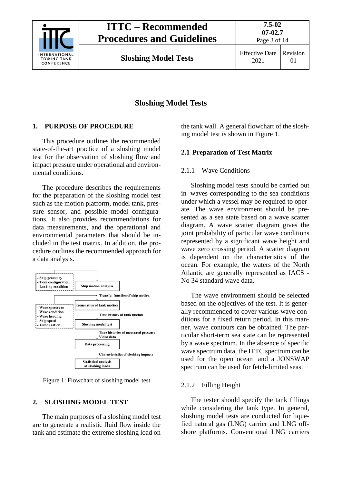

## **Sloshing Model Tests**

## <span id="page-2-0"></span>**1. PURPOSE OF PROCEDURE**

This procedure outlines the recommended state-of-the-art practice of a sloshing model test for the observation of sloshing flow and impact pressure under operational and environmental conditions.

The procedure describes the requirements for the preparation of the sloshing model test such as the motion platform, model tank, pressure sensor, and possible model configurations. It also provides recommendations for data measurements, and the operational and environmental parameters that should be included in the test matrix. In addition, the procedure outlines the recommended approach for a data analysis.



Figure 1: Flowchart of sloshing model test

## <span id="page-2-1"></span>**2. SLOSHING MODEL TEST**

The main purposes of a sloshing model test are to generate a realistic fluid flow inside the tank and estimate the extreme sloshing load on

the tank wall. A general flowchart of the sloshing model test is shown in Figure 1.

## <span id="page-2-3"></span><span id="page-2-2"></span>**2.1 Preparation of Test Matrix**

#### 2.1.1 Wave Conditions

Sloshing model tests should be carried out in waves corresponding to the sea conditions under which a vessel may be required to operate. The wave environment should be presented as a sea state based on a wave scatter diagram. A wave scatter diagram gives the joint probability of particular wave conditions represented by a significant wave height and wave zero crossing period. A scatter diagram is dependent on the characteristics of the ocean. For example, the waters of the North Atlantic are generally represented as IACS - No 34 standard wave data.

The wave environment should be selected based on the objectives of the test. It is generally recommended to cover various wave conditions for a fixed return period. In this manner, wave contours can be obtained. The particular short-term sea state can be represented by a wave spectrum. In the absence of specific wave spectrum data, the ITTC spectrum can be used for the open ocean and a JONSWAP spectrum can be used for fetch-limited seas.

## <span id="page-2-4"></span>2.1.2 Filling Height

The tester should specify the tank fillings while considering the tank type. In general, sloshing model tests are conducted for liquefied natural gas (LNG) carrier and LNG offshore platforms. Conventional LNG carriers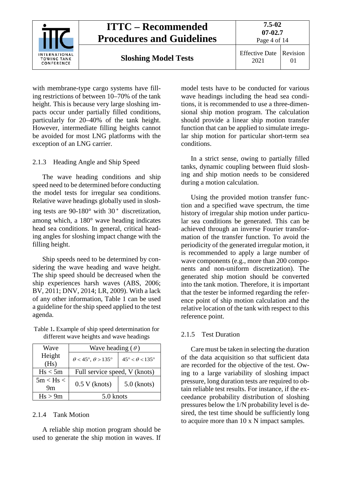

with membrane-type cargo systems have filling restrictions of between 10–70% of the tank height. This is because very large sloshing impacts occur under partially filled conditions, particularly for 20–40% of the tank height. However, intermediate filling heights cannot be avoided for most LNG platforms with the exception of an LNG carrier.

#### <span id="page-3-0"></span>2.1.3 Heading Angle and Ship Speed

The wave heading conditions and ship speed need to be determined before conducting the model tests for irregular sea conditions. Relative wave headings globally used in sloshing tests are  $90-180^\circ$  with  $30^\circ$  discretization. among which, a 180° wave heading indicates head sea conditions. In general, critical heading angles for sloshing impact change with the filling height.

Ship speeds need to be determined by considering the wave heading and wave height. The ship speed should be decreased when the ship experiences harsh waves (ABS, 2006; BV, 2011; DNV, 2014; LR, 2009). With a lack of any other information, Table 1 can be used a guideline for the ship speed applied to the test agenda.

Table 1**.** Example of ship speed determination for different wave heights and wave headings

| Wave                | Wave heading $(\theta)$         |                                 |  |
|---------------------|---------------------------------|---------------------------------|--|
| Height<br>(Hs)      | $\theta$ < 45°, $\theta$ > 135° | $45^\circ < \theta < 135^\circ$ |  |
| Hs < 5m             | Full service speed, V (knots)   |                                 |  |
| $5m <$ Hs $<$<br>9m | $0.5 V$ (knots)                 | $5.0$ (knots)                   |  |
| Hs > 9m             | 5.0 knots                       |                                 |  |

#### <span id="page-3-1"></span>2.1.4 Tank Motion

A reliable ship motion program should be used to generate the ship motion in waves. If model tests have to be conducted for various wave headings including the head sea conditions, it is recommended to use a three-dimensional ship motion program. The calculation should provide a linear ship motion transfer function that can be applied to simulate irregular ship motion for particular short-term sea conditions.

In a strict sense, owing to partially filled tanks, dynamic coupling between fluid sloshing and ship motion needs to be considered during a motion calculation.

Using the provided motion transfer function and a specified wave spectrum, the time history of irregular ship motion under particular sea conditions be generated. This can be achieved through an inverse Fourier transformation of the transfer function. To avoid the periodicity of the generated irregular motion, it is recommended to apply a large number of wave components (e.g., more than 200 components and non-uniform discretization). The generated ship motion should be converted into the tank motion. Therefore, it is important that the tester be informed regarding the reference point of ship motion calculation and the relative location of the tank with respect to this reference point.

#### <span id="page-3-2"></span>2.1.5 Test Duration

Care must be taken in selecting the duration of the data acquisition so that sufficient data are recorded for the objective of the test. Owing to a large variability of sloshing impact pressure, long duration tests are required to obtain reliable test results. For instance, if the exceedance probability distribution of sloshing pressures below the 1/N probability level is desired, the test time should be sufficiently long to acquire more than 10 x N impact samples.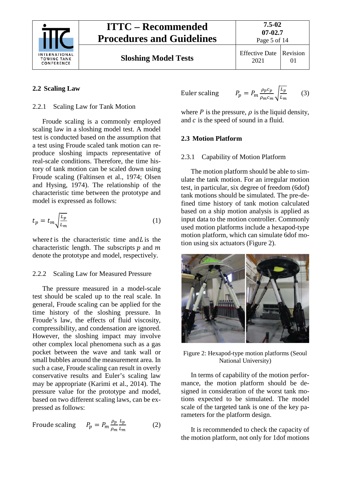

2021 Revision 01

## <span id="page-4-1"></span><span id="page-4-0"></span>**2.2 Scaling Law**

#### 2.2.1 Scaling Law for Tank Motion

Froude scaling is a commonly employed scaling law in a sloshing model test. A model test is conducted based on the assumption that a test using Froude scaled tank motion can reproduce sloshing impacts representative of real-scale conditions. Therefore, the time history of tank motion can be scaled down using Froude scaling (Faltinsen et al., 1974; Olsen and Hysing, 1974). The relationship of the characteristic time between the prototype and model is expressed as follows:

$$
t_p = t_m \sqrt{\frac{L_p}{L_m}}
$$
 (1)

where t is the characteristic time and  $L$  is the characteristic length. The subscripts  $p$  and  $m$ denote the prototype and model, respectively.

## <span id="page-4-2"></span>2.2.2 Scaling Law for Measured Pressure

The pressure measured in a model-scale test should be scaled up to the real scale. In general, Froude scaling can be applied for the time history of the sloshing pressure. In Froude's law, the effects of fluid viscosity, compressibility, and condensation are ignored. However, the sloshing impact may involve other complex local phenomena such as a gas pocket between the wave and tank wall or small bubbles around the measurement area. In such a case, Froude scaling can result in overly conservative results and Euler's scaling law may be appropriate (Karimi et al., 2014). The pressure value for the prototype and model, based on two different scaling laws, can be expressed as follows:

$$
\text{Froude scaling} \qquad P_p = P_m \frac{\rho_p}{\rho_m} \frac{L_p}{L_m} \tag{2}
$$

Euler scaling

$$
P_p = P_m \frac{\rho_p c_p}{\rho_m c_m} \sqrt{\frac{L_p}{L_m}}
$$
 (3)

where  $P$  is the pressure,  $\rho$  is the liquid density, and  $c$  is the speed of sound in a fluid.

#### <span id="page-4-4"></span><span id="page-4-3"></span>**2.3 Motion Platform**

#### 2.3.1 Capability of Motion Platform

The motion platform should be able to simulate the tank motion. For an irregular motion test, in particular, six degree of freedom (6dof) tank motions should be simulated. The pre-defined time history of tank motion calculated based on a ship motion analysis is applied as input data to the motion controller. Commonly used motion platforms include a hexapod-type motion platform, which can simulate 6dof motion using six actuators (Figure 2).



Figure 2: Hexapod-type motion platforms (Seoul National University)

In terms of capability of the motion performance, the motion platform should be designed in consideration of the worst tank motions expected to be simulated. The model scale of the targeted tank is one of the key parameters for the platform design.

It is recommended to check the capacity of the motion platform, not only for 1dof motions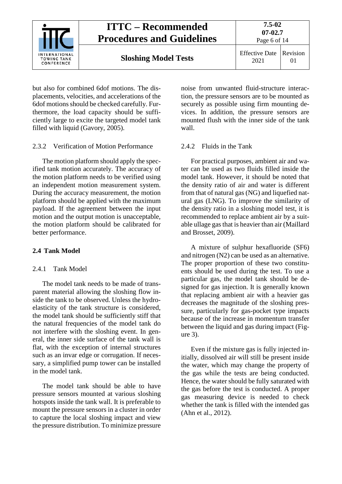

but also for combined 6dof motions. The displacements, velocities, and accelerations of the 6dof motions should be checked carefully. Furthermore, the load capacity should be sufficiently large to excite the targeted model tank filled with liquid (Gavory, 2005).

#### <span id="page-5-0"></span>2.3.2 Verification of Motion Performance

The motion platform should apply the specified tank motion accurately. The accuracy of the motion platform needs to be verified using an independent motion measurement system. During the accuracy measurement, the motion platform should be applied with the maximum payload. If the agreement between the input motion and the output motion is unacceptable, the motion platform should be calibrated for better performance.

## <span id="page-5-2"></span><span id="page-5-1"></span>**2.4 Tank Model**

## 2.4.1 Tank Model

The model tank needs to be made of transparent material allowing the sloshing flow inside the tank to be observed. Unless the hydroelasticity of the tank structure is considered, the model tank should be sufficiently stiff that the natural frequencies of the model tank do not interfere with the sloshing event. In general, the inner side surface of the tank wall is flat, with the exception of internal structures such as an invar edge or corrugation. If necessary, a simplified pump tower can be installed in the model tank.

The model tank should be able to have pressure sensors mounted at various sloshing hotspots inside the tank wall. It is preferable to mount the pressure sensors in a cluster in order to capture the local sloshing impact and view the pressure distribution. To minimize pressure noise from unwanted fluid-structure interaction, the pressure sensors are to be mounted as securely as possible using firm mounting devices. In addition, the pressure sensors are mounted flush with the inner side of the tank wall.

## <span id="page-5-3"></span>2.4.2 Fluids in the Tank

For practical purposes, ambient air and water can be used as two fluids filled inside the model tank. However, it should be noted that the density ratio of air and water is different from that of natural gas (NG) and liquefied natural gas (LNG). To improve the similarity of the density ratio in a sloshing model test, it is recommended to replace ambient air by a suitable ullage gas that is heavier than air (Maillard and Brosset, 2009).

A mixture of sulphur hexafluoride (SF6) and nitrogen (N2) can be used as an alternative. The proper proportion of these two constituents should be used during the test. To use a particular gas, the model tank should be designed for gas injection. It is generally known that replacing ambient air with a heavier gas decreases the magnitude of the sloshing pressure, particularly for gas-pocket type impacts because of the increase in momentum transfer between the liquid and gas during impact (Figure 3).

Even if the mixture gas is fully injected initially, dissolved air will still be present inside the water, which may change the property of the gas while the tests are being conducted. Hence, the water should be fully saturated with the gas before the test is conducted. A proper gas measuring device is needed to check whether the tank is filled with the intended gas (Ahn et al., 2012).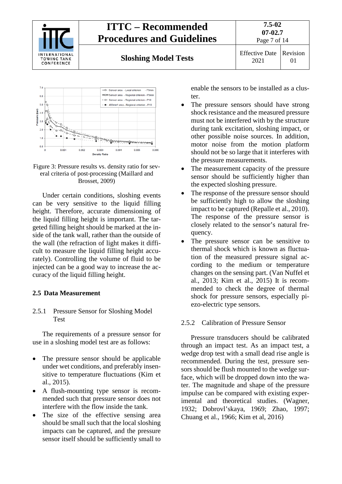





Under certain conditions, sloshing events can be very sensitive to the liquid filling height. Therefore, accurate dimensioning of the liquid filling height is important. The targeted filling height should be marked at the inside of the tank wall, rather than the outside of the wall (the refraction of light makes it difficult to measure the liquid filling height accurately). Controlling the volume of fluid to be injected can be a good way to increase the accuracy of the liquid filling height.

#### <span id="page-6-1"></span><span id="page-6-0"></span>**2.5 Data Measurement**

#### 2.5.1 Pressure Sensor for Sloshing Model Test

The requirements of a pressure sensor for use in a sloshing model test are as follows:

- The pressure sensor should be applicable under wet conditions, and preferably insensitive to temperature fluctuations (Kim et al., 2015).
- A flush-mounting type sensor is recommended such that pressure sensor does not interfere with the flow inside the tank.
- The size of the effective sensing area should be small such that the local sloshing impacts can be captured, and the pressure sensor itself should be sufficiently small to

enable the sensors to be installed as a cluster.

- The pressure sensors should have strong shock resistance and the measured pressure must not be interfered with by the structure during tank excitation, sloshing impact, or other possible noise sources. In addition, motor noise from the motion platform should not be so large that it interferes with the pressure measurements.
- The measurement capacity of the pressure sensor should be sufficiently higher than the expected sloshing pressure.
- The response of the pressure sensor should be sufficiently high to allow the sloshing impact to be captured (Repalle et al., 2010). The response of the pressure sensor is closely related to the sensor's natural frequency.
- The pressure sensor can be sensitive to thermal shock which is known as fluctuation of the measured pressure signal according to the medium or temperature changes on the sensing part. (Van Nuffel et al., 2013; Kim et al., 2015) It is recommended to check the degree of thermal shock for pressure sensors, especially piezo-electric type sensors.

#### <span id="page-6-2"></span>2.5.2 Calibration of Pressure Sensor

Pressure transducers should be calibrated through an impact test. As an impact test, a wedge drop test with a small dead rise angle is recommended. During the test, pressure sensors should be flush mounted to the wedge surface, which will be dropped down into the water. The magnitude and shape of the pressure impulse can be compared with existing experimental and theoretical studies. (Wagner, 1932; Dobrovl'skaya, 1969; Zhao, 1997; Chuang et al., 1966; Kim et al, 2016)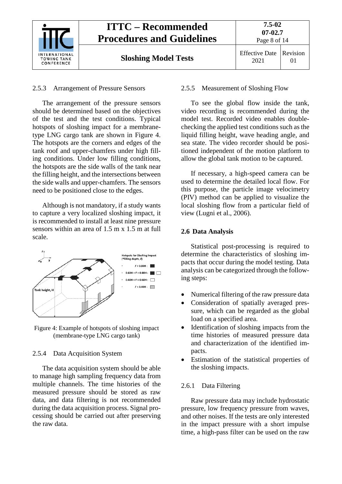

#### <span id="page-7-0"></span>2.5.3 Arrangement of Pressure Sensors

The arrangement of the pressure sensors should be determined based on the objectives of the test and the test conditions. Typical hotspots of sloshing impact for a membranetype LNG cargo tank are shown in Figure 4. The hotspots are the corners and edges of the tank roof and upper-chamfers under high filling conditions. Under low filling conditions, the hotspots are the side walls of the tank near the filling height, and the intersections between the side walls and upper-chamfers. The sensors need to be positioned close to the edges.

Although is not mandatory, if a study wants to capture a very localized sloshing impact, it is recommended to install at least nine pressure sensors within an area of 1.5 m x 1.5 m at full scale.



Figure 4: Example of hotspots of sloshing impact (membrane-type LNG cargo tank)

#### <span id="page-7-1"></span>2.5.4 Data Acquisition System

The data acquisition system should be able to manage high sampling frequency data from multiple channels. The time histories of the measured pressure should be stored as raw data, and data filtering is not recommended during the data acquisition process. Signal processing should be carried out after preserving the raw data.

#### <span id="page-7-2"></span>2.5.5 Measurement of Sloshing Flow

To see the global flow inside the tank, video recording is recommended during the model test. Recorded video enables doublechecking the applied test conditions such as the liquid filling height, wave heading angle, and sea state. The video recorder should be positioned independent of the motion platform to allow the global tank motion to be captured.

If necessary, a high-speed camera can be used to determine the detailed local flow. For this purpose, the particle image velocimetry (PIV) method can be applied to visualize the local sloshing flow from a particular field of view (Lugni et al., 2006).

#### <span id="page-7-3"></span>**2.6 Data Analysis**

Statistical post-processing is required to determine the characteristics of sloshing impacts that occur during the model testing. Data analysis can be categorized through the following steps:

- Numerical filtering of the raw pressure data
- Consideration of spatially averaged pressure, which can be regarded as the global load on a specified area.
- Identification of sloshing impacts from the time histories of measured pressure data and characterization of the identified impacts.
- Estimation of the statistical properties of the sloshing impacts.

#### <span id="page-7-4"></span>2.6.1 Data Filtering

Raw pressure data may include hydrostatic pressure, low frequency pressure from waves, and other noises. If the tests are only interested in the impact pressure with a short impulse time, a high-pass filter can be used on the raw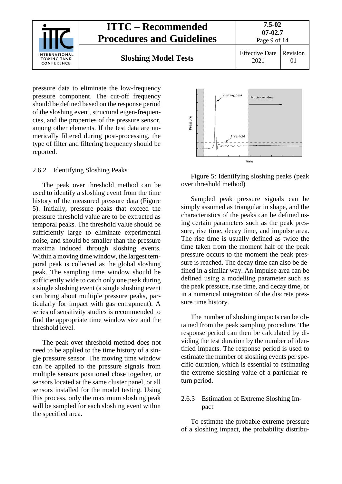

pressure data to eliminate the low-frequency pressure component. The cut-off frequency should be defined based on the response period of the sloshing event, structural eigen-frequencies, and the properties of the pressure sensor, among other elements. If the test data are numerically filtered during post-processing, the type of filter and filtering frequency should be reported.

#### <span id="page-8-0"></span>2.6.2 Identifying Sloshing Peaks

The peak over threshold method can be used to identify a sloshing event from the time history of the measured pressure data (Figure 5). Initially, pressure peaks that exceed the pressure threshold value are to be extracted as temporal peaks. The threshold value should be sufficiently large to eliminate experimental noise, and should be smaller than the pressure maxima induced through sloshing events. Within a moving time window, the largest temporal peak is collected as the global sloshing peak. The sampling time window should be sufficiently wide to catch only one peak during a single sloshing event (a single sloshing event can bring about multiple pressure peaks, particularly for impact with gas entrapment). A series of sensitivity studies is recommended to find the appropriate time window size and the threshold level.

The peak over threshold method does not need to be applied to the time history of a single pressure sensor. The moving time window can be applied to the pressure signals from multiple sensors positioned close together, or sensors located at the same cluster panel, or all sensors installed for the model testing. Using this process, only the maximum sloshing peak will be sampled for each sloshing event within the specified area.



Figure 5: Identifying sloshing peaks (peak over threshold method)

Sampled peak pressure signals can be simply assumed as triangular in shape, and the characteristics of the peaks can be defined using certain parameters such as the peak pressure, rise time, decay time, and impulse area. The rise time is usually defined as twice the time taken from the moment half of the peak pressure occurs to the moment the peak pressure is reached. The decay time can also be defined in a similar way. An impulse area can be defined using a modelling parameter such as the peak pressure, rise time, and decay time, or in a numerical integration of the discrete pressure time history.

The number of sloshing impacts can be obtained from the peak sampling procedure. The response period can then be calculated by dividing the test duration by the number of identified impacts. The response period is used to estimate the number of sloshing events per specific duration, which is essential to estimating the extreme sloshing value of a particular return period.

#### <span id="page-8-1"></span>2.6.3 Estimation of Extreme Sloshing Impact

To estimate the probable extreme pressure of a sloshing impact, the probability distribu-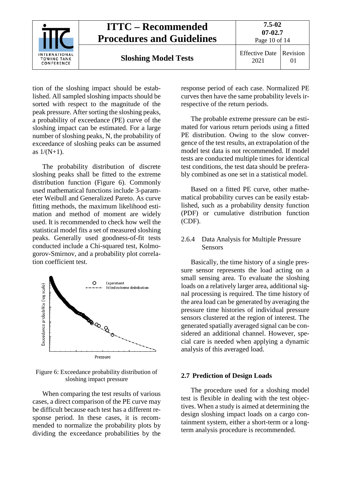

tion of the sloshing impact should be established. All sampled sloshing impacts should be sorted with respect to the magnitude of the peak pressure. After sorting the sloshing peaks, a probability of exceedance (PE) curve of the sloshing impact can be estimated. For a large number of sloshing peaks, N, the probability of exceedance of sloshing peaks can be assumed as  $1/(N+1)$ .

The probability distribution of discrete sloshing peaks shall be fitted to the extreme distribution function (Figure 6). Commonly used mathematical functions include 3-parameter Weibull and Generalized Pareto. As curve fitting methods, the maximum likelihood estimation and method of moment are widely used. It is recommended to check how well the statistical model fits a set of measured sloshing peaks. Generally used goodness-of-fit tests conducted include a Chi-squared test, Kolmogorov-Smirnov, and a probability plot correlation coefficient test.



Figure 6: Exceedance probability distribution of sloshing impact pressure

When comparing the test results of various cases, a direct comparison of the PE curve may be difficult because each test has a different response period. In these cases, it is recommended to normalize the probability plots by dividing the exceedance probabilities by the response period of each case. Normalized PE curves then have the same probability levels irrespective of the return periods.

The probable extreme pressure can be estimated for various return periods using a fitted PE distribution. Owing to the slow convergence of the test results, an extrapolation of the model test data is not recommended. If model tests are conducted multiple times for identical test conditions, the test data should be preferably combined as one set in a statistical model.

Based on a fitted PE curve, other mathematical probability curves can be easily established, such as a probability density function (PDF) or cumulative distribution function (CDF).

#### <span id="page-9-0"></span>2.6.4 Data Analysis for Multiple Pressure Sensors

Basically, the time history of a single pressure sensor represents the load acting on a small sensing area. To evaluate the sloshing loads on a relatively larger area, additional signal processing is required. The time history of the area load can be generated by averaging the pressure time histories of individual pressure sensors clustered at the region of interest. The generated spatially averaged signal can be considered an additional channel. However, special care is needed when applying a dynamic analysis of this averaged load.

#### <span id="page-9-1"></span>**2.7 Prediction of Design Loads**

The procedure used for a sloshing model test is flexible in dealing with the test objectives. When a study is aimed at determining the design sloshing impact loads on a cargo containment system, either a short-term or a longterm analysis procedure is recommended.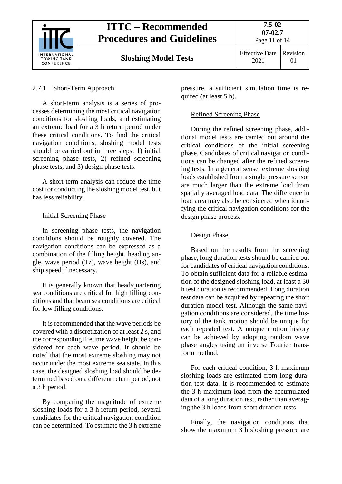

## **ITTC – Recommended Procedures and Guidelines**

## <span id="page-10-0"></span>2.7.1 Short-Term Approach

A short-term analysis is a series of processes determining the most critical navigation conditions for sloshing loads, and estimating an extreme load for a 3 h return period under these critical conditions. To find the critical navigation conditions, sloshing model tests should be carried out in three steps: 1) initial screening phase tests, 2) refined screening phase tests, and 3) design phase tests.

A short-term analysis can reduce the time cost for conducting the sloshing model test, but has less reliability.

## <span id="page-10-1"></span>Initial Screening Phase

In screening phase tests, the navigation conditions should be roughly covered. The navigation conditions can be expressed as a combination of the filling height, heading angle, wave period (Tz), wave height (Hs), and ship speed if necessary.

It is generally known that head/quartering sea conditions are critical for high filling conditions and that beam sea conditions are critical for low filling conditions.

It is recommended that the wave periods be covered with a discretization of at least 2 s, and the corresponding lifetime wave height be considered for each wave period. It should be noted that the most extreme sloshing may not occur under the most extreme sea state. In this case, the designed sloshing load should be determined based on a different return period, not a 3 h period.

By comparing the magnitude of extreme sloshing loads for a 3 h return period, several candidates for the critical navigation condition can be determined. To estimate the 3 h extreme

<span id="page-10-2"></span>pressure, a sufficient simulation time is required (at least 5 h).

## Refined Screening Phase

During the refined screening phase, additional model tests are carried out around the critical conditions of the initial screening phase. Candidates of critical navigation conditions can be changed after the refined screening tests. In a general sense, extreme sloshing loads established from a single pressure sensor are much larger than the extreme load from spatially averaged load data. The difference in load area may also be considered when identifying the critical navigation conditions for the design phase process.

## <span id="page-10-3"></span>Design Phase

Based on the results from the screening phase, long duration tests should be carried out for candidates of critical navigation conditions. To obtain sufficient data for a reliable estimation of the designed sloshing load, at least a 30 h test duration is recommended. Long duration test data can be acquired by repeating the short duration model test. Although the same navigation conditions are considered, the time history of the tank motion should be unique for each repeated test. A unique motion history can be achieved by adopting random wave phase angles using an inverse Fourier transform method.

For each critical condition, 3 h maximum sloshing loads are estimated from long duration test data. It is recommended to estimate the 3 h maximum load from the accumulated data of a long duration test, rather than averaging the 3 h loads from short duration tests.

Finally, the navigation conditions that show the maximum 3 h sloshing pressure are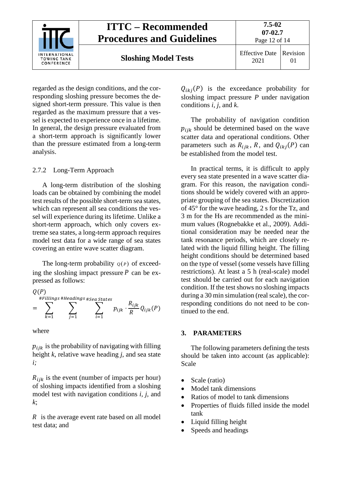

regarded as the design conditions, and the corresponding sloshing pressure becomes the designed short-term pressure. This value is then regarded as the maximum pressure that a vessel is expected to experience once in a lifetime. In general, the design pressure evaluated from a short-term approach is significantly lower than the pressure estimated from a long-term analysis.

## <span id="page-11-0"></span>2.7.2 Long-Term Approach

A long-term distribution of the sloshing loads can be obtained by combining the model test results of the possible short-term sea states, which can represent all sea conditions the vessel will experience during its lifetime. Unlike a short-term approach, which only covers extreme sea states, a long-term approach requires model test data for a wide range of sea states covering an entire wave scatter diagram.

The long-term probability  $q(p)$  of exceeding the sloshing impact pressure  $P$  can be expressed as follows:

$$
Q(P)
$$
  
#Fillings #Headings # Sea States  

$$
= \sum_{k=1}^{4Fillings} \sum_{j=1}^{4Headings # Sea States} p_{ijk} \cdot \frac{R_{ijk}}{R} Q_{ijk}(P)
$$

where

 $p_{ijk}$  is the probability of navigating with filling height *k*, relative wave heading *j*, and sea state *i;*

 $R_{ijk}$  is the event (number of impacts per hour) of sloshing impacts identified from a sloshing model test with navigation conditions *i, j,* and *k*;

 $\overline{R}$  is the average event rate based on all model test data; and

 $Q_{ikj}(P)$  is the exceedance probability for sloshing impact pressure *P* under navigation conditions *i, j,* and *k*.

The probability of navigation condition  $p_{ijk}$  should be determined based on the wave scatter data and operational conditions. Other parameters such as  $R_{iik}$ , R, and  $Q_{ikj}(P)$  can be established from the model test.

In practical terms, it is difficult to apply every sea state presented in a wave scatter diagram. For this reason, the navigation conditions should be widely covered with an appropriate grouping of the sea states. Discretization of 45° for the wave heading, 2 s for the Tz, and 3 m for the Hs are recommended as the minimum values (Rognebakke et al., 2009). Additional consideration may be needed near the tank resonance periods, which are closely related with the liquid filling height. The filling height conditions should be determined based on the type of vessel (some vessels have filling restrictions). At least a 5 h (real-scale) model test should be carried out for each navigation condition. If the test shows no sloshing impacts during a 30 min simulation (real scale), the corresponding conditions do not need to be continued to the end.

#### <span id="page-11-1"></span>**3. PARAMETERS**

The following parameters defining the tests should be taken into account (as applicable): Scale

- Scale (ratio)
- Model tank dimensions
- Ratios of model to tank dimensions
- Properties of fluids filled inside the model tank
- Liquid filling height
- Speeds and headings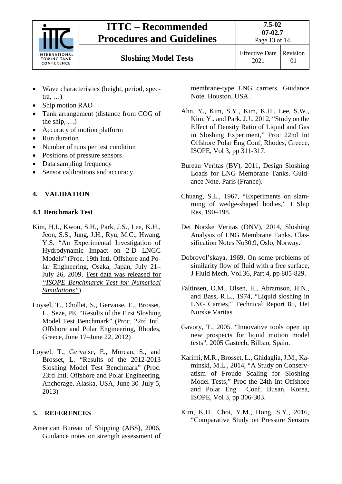

## **ITTC – Recommended Procedures and Guidelines**

**Sloshing Model Tests** Effective Date

2021 Revision 01

- Wave characteristics (height, period, spectra, …)
- Ship motion RAO
- Tank arrangement (distance from COG of the ship, …)
- Accuracy of motion platform
- Run duration
- Number of runs per test condition
- Positions of pressure sensors
- Data sampling frequency
- Sensor calibrations and accuracy

## <span id="page-12-1"></span><span id="page-12-0"></span>**4. VALIDATION**

## **4.1 Benchmark Test**

- Kim, H.I., Kwon, S.H., Park, J.S., Lee, K.H., Jeon, S.S., Jung, J.H., Ryu, M.C., Hwang, Y.S. "An Experimental Investigation of Hydrodynamic Impact on 2-D LNGC Models" (Proc. 19th Intl. Offshore and Polar Engineering, Osaka, Japan, July 21– July 26, 2009, Test data was released for *"ISOPE Benchmarck Test for Numerical Simulations"*)
- Loysel, T., Chollet, S., Gervaise, E., Brosset, L., Seze, PE. "Results of the First Sloshing Model Test Benchmark" (Proc. 22rd Intl. Offshore and Polar Engineering, Rhodes, Greece, June 17–June 22, 2012)
- Loysel, T., Gervaise, E., Moreau, S., and Brosset, L. "Results of the 2012-2013 Sloshing Model Test Benchmark" (Proc. 23rd Intl. Offshore and Polar Engineering, Anchorage, Alaska, USA, June 30–July 5, 2013)

## <span id="page-12-2"></span>**5. REFERENCES**

American Bureau of Shipping (ABS), 2006, Guidance notes on strength assessment of membrane-type LNG carriers. Guidance Note. Houston, USA.

- Ahn, Y., Kim, S.Y., Kim, K.H., Lee, S.W., Kim, Y., and Park, J.J., 2012, "Study on the Effect of Density Ratio of Liquid and Gas in Sloshing Experiment," Proc 22nd Int Offshore Polar Eng Conf, Rhodes, Greece, ISOPE, Vol 3, pp 311-317.
- Bureau Veritas (BV), 2011, Design Sloshing Loads for LNG Membrane Tanks. Guidance Note. Paris (France).
- Chuang, S.L., 1967, "Experiments on slamming of wedge-shaped bodies," J Ship Res, 190–198.
- Det Norske Veritas (DNV), 2014, Sloshing Analysis of LNG Membrane Tanks. Classification Notes No30.9, Oslo, Norway.
- Dobrovol'skaya, 1969, On some problems of similarity flow of fluid with a free surface, J Fluid Mech, Vol.36, Part 4, pp 805-829.
- Faltinsen, O.M., Olsen, H., Abramson, H.N., and Bass, R.L., 1974, "Liquid sloshing in LNG Carries," Technical Report 85, Det Norske Varitas.
- Gavory, T., 2005. "Innovative tools open up new prospects for liquid motion model tests", 2005 Gastech, Bilbao, Spain.
- Karimi, M.R., Brosset, L., Ghidaglia, J.M., Kaminski, M.L., 2014, "A Study on Conservatism of Froude Scaling for Sloshing Model Tests," Proc the 24th Int Offshore and Polar Eng Conf, Busan, Korea, ISOPE, Vol 3, pp 306-303.
- Kim, K.H., Choi, Y.M., Hong, S.Y., 2016, "Comparative Study on Pressure Sensors